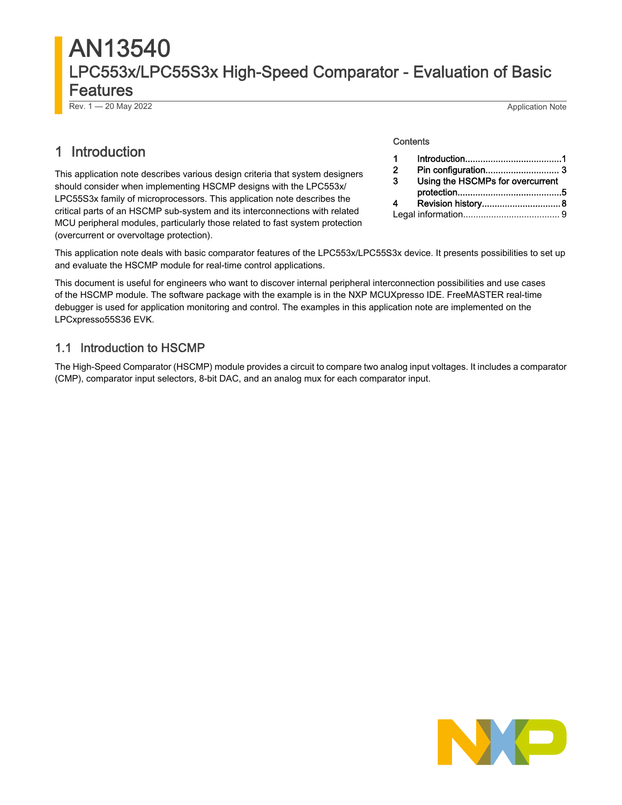# AN13540 LPC553x/LPC55S3x High-Speed Comparator - Evaluation of Basic Features

Rev. 1 — 20 May 2022 Application Note

# 1 Introduction

This application note describes various design criteria that system designers should consider when implementing HSCMP designs with the LPC553x/ LPC55S3x family of microprocessors. This application note describes the critical parts of an HSCMP sub-system and its interconnections with related MCU peripheral modules, particularly those related to fast system protection (overcurrent or overvoltage protection).

#### **Contents**

| -2 |                                  |  |  |
|----|----------------------------------|--|--|
| -3 | Using the HSCMPs for overcurrent |  |  |
|    |                                  |  |  |
|    |                                  |  |  |
|    |                                  |  |  |

This application note deals with basic comparator features of the LPC553x/LPC55S3x device. It presents possibilities to set up and evaluate the HSCMP module for real-time control applications.

This document is useful for engineers who want to discover internal peripheral interconnection possibilities and use cases of the HSCMP module. The software package with the example is in the NXP MCUXpresso IDE. FreeMASTER real-time debugger is used for application monitoring and control. The examples in this application note are implemented on the LPCxpresso55S36 EVK.

## 1.1 Introduction to HSCMP

The High-Speed Comparator (HSCMP) module provides a circuit to compare two analog input voltages. It includes a comparator (CMP), comparator input selectors, 8-bit DAC, and an analog mux for each comparator input.

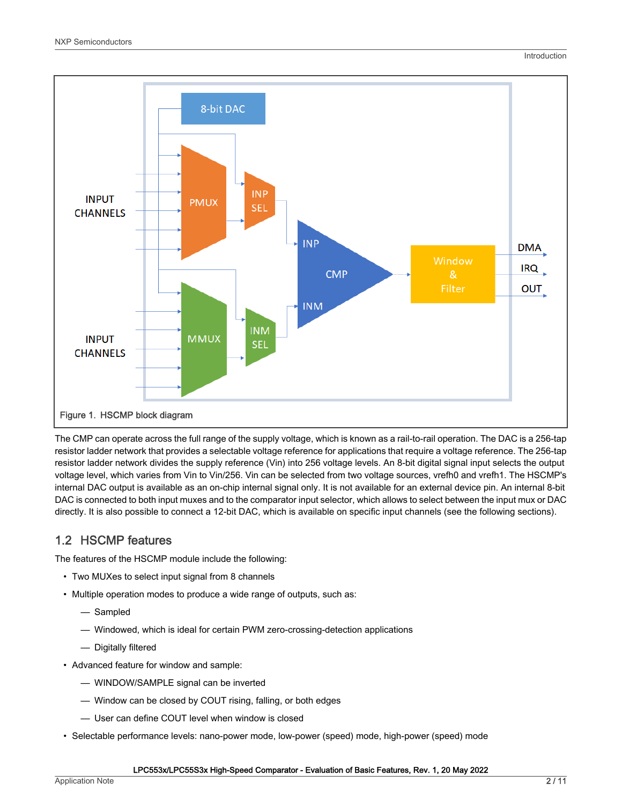

The CMP can operate across the full range of the supply voltage, which is known as a rail-to-rail operation. The DAC is a 256-tap resistor ladder network that provides a selectable voltage reference for applications that require a voltage reference. The 256-tap resistor ladder network divides the supply reference (Vin) into 256 voltage levels. An 8-bit digital signal input selects the output voltage level, which varies from Vin to Vin/256. Vin can be selected from two voltage sources, vrefh0 and vrefh1. The HSCMP's internal DAC output is available as an on-chip internal signal only. It is not available for an external device pin. An internal 8-bit DAC is connected to both input muxes and to the comparator input selector, which allows to select between the input mux or DAC directly. It is also possible to connect a 12-bit DAC, which is available on specific input channels (see the following sections).

## 1.2 HSCMP features

The features of the HSCMP module include the following:

- Two MUXes to select input signal from 8 channels
- Multiple operation modes to produce a wide range of outputs, such as:
	- Sampled
	- Windowed, which is ideal for certain PWM zero-crossing-detection applications
	- Digitally filtered
- Advanced feature for window and sample:
	- WINDOW/SAMPLE signal can be inverted
	- Window can be closed by COUT rising, falling, or both edges
	- User can define COUT level when window is closed
- Selectable performance levels: nano-power mode, low-power (speed) mode, high-power (speed) mode

#### LPC553x/LPC55S3x High-Speed Comparator - Evaluation of Basic Features, Rev. 1, 20 May 2022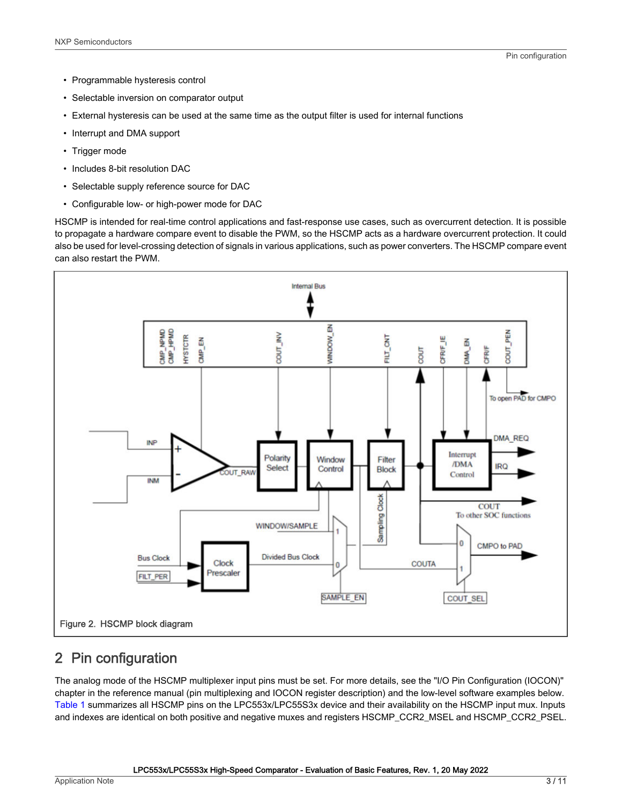- <span id="page-2-0"></span>• Programmable hysteresis control
- Selectable inversion on comparator output
- External hysteresis can be used at the same time as the output filter is used for internal functions
- Interrupt and DMA support
- Trigger mode
- Includes 8-bit resolution DAC
- Selectable supply reference source for DAC
- Configurable low- or high-power mode for DAC

HSCMP is intended for real-time control applications and fast-response use cases, such as overcurrent detection. It is possible to propagate a hardware compare event to disable the PWM, so the HSCMP acts as a hardware overcurrent protection. It could also be used for level-crossing detection of signals in various applications, such as power converters. The HSCMP compare event can also restart the PWM.



# 2 Pin configuration

The analog mode of the HSCMP multiplexer input pins must be set. For more details, see the "I/O Pin Configuration (IOCON)" chapter in the reference manual (pin multiplexing and IOCON register description) and the low-level software examples below. [Table 1](#page-3-0) summarizes all HSCMP pins on the LPC553x/LPC55S3x device and their availability on the HSCMP input mux. Inputs and indexes are identical on both positive and negative muxes and registers HSCMP\_CCR2\_MSEL and HSCMP\_CCR2\_PSEL.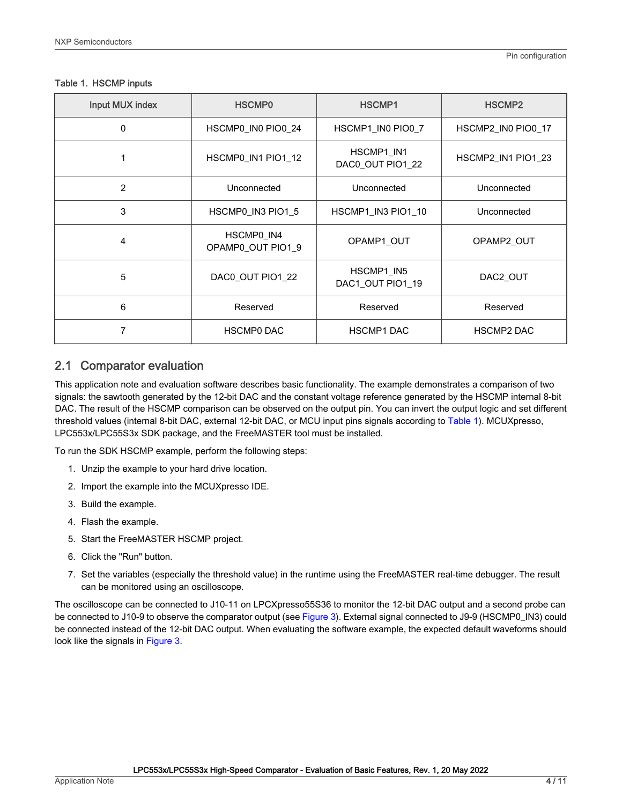| Input MUX index | <b>HSCMP0</b>                   | HSCMP1                         | HSCMP <sub>2</sub> |
|-----------------|---------------------------------|--------------------------------|--------------------|
| 0               | HSCMP0 IN0 PIO0 24              | HSCMP1 IN0 PIO0 7              | HSCMP2 IN0 PIO0 17 |
|                 | HSCMP0_IN1 PIO1_12              | HSCMP1 IN1<br>DAC0_OUT PIO1_22 | HSCMP2_IN1 PIO1_23 |
| $\overline{2}$  | Unconnected                     | Unconnected                    | Unconnected        |
| 3               | HSCMP0_IN3 PIO1_5               | HSCMP1_IN3 PIO1_10             | Unconnected        |
| $\overline{4}$  | HSCMP0_IN4<br>OPAMP0 OUT PIO1 9 | OPAMP1_OUT                     | OPAMP2_OUT         |
| 5               | DAC0 OUT PIO1 22                | HSCMP1 IN5<br>DAC1 OUT PIO1 19 | DAC2_OUT           |
| 6               | Reserved                        | Reserved                       | Reserved           |
|                 | <b>HSCMP0 DAC</b>               | <b>HSCMP1 DAC</b>              | <b>HSCMP2 DAC</b>  |

#### <span id="page-3-0"></span>Table 1. HSCMP inputs

## 2.1 Comparator evaluation

This application note and evaluation software describes basic functionality. The example demonstrates a comparison of two signals: the sawtooth generated by the 12-bit DAC and the constant voltage reference generated by the HSCMP internal 8-bit DAC. The result of the HSCMP comparison can be observed on the output pin. You can invert the output logic and set different threshold values (internal 8-bit DAC, external 12-bit DAC, or MCU input pins signals according to Table 1). MCUXpresso, LPC553x/LPC55S3x SDK package, and the FreeMASTER tool must be installed.

To run the SDK HSCMP example, perform the following steps:

- 1. Unzip the example to your hard drive location.
- 2. Import the example into the MCUXpresso IDE.
- 3. Build the example.
- 4. Flash the example.
- 5. Start the FreeMASTER HSCMP project.
- 6. Click the "Run" button.
- 7. Set the variables (especially the threshold value) in the runtime using the FreeMASTER real-time debugger. The result can be monitored using an oscilloscope.

The oscilloscope can be connected to J10-11 on LPCXpresso55S36 to monitor the 12-bit DAC output and a second probe can be connected to J10-9 to observe the comparator output (see [Figure 3](#page-4-0)). External signal connected to J9-9 (HSCMP0 IN3) could be connected instead of the 12-bit DAC output. When evaluating the software example, the expected default waveforms should look like the signals in [Figure 3](#page-4-0).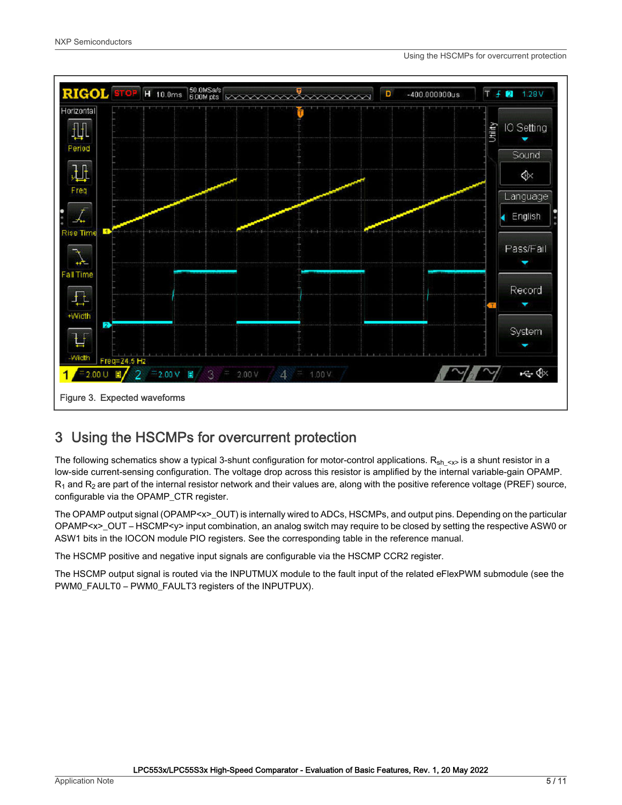<span id="page-4-0"></span>

# 3 Using the HSCMPs for overcurrent protection

The following schematics show a typical 3-shunt configuration for motor-control applications.  $R_{sh} \sim R_{sh}$  is a shunt resistor in a low-side current-sensing configuration. The voltage drop across this resistor is amplified by the internal variable-gain OPAMP.  $R_1$  and  $R_2$  are part of the internal resistor network and their values are, along with the positive reference voltage (PREF) source, configurable via the OPAMP\_CTR register.

The OPAMP output signal (OPAMP<x>\_OUT) is internally wired to ADCs, HSCMPs, and output pins. Depending on the particular OPAMP<x>\_OUT – HSCMP<y> input combination, an analog switch may require to be closed by setting the respective ASW0 or ASW1 bits in the IOCON module PIO registers. See the corresponding table in the reference manual.

The HSCMP positive and negative input signals are configurable via the HSCMP CCR2 register.

The HSCMP output signal is routed via the INPUTMUX module to the fault input of the related eFlexPWM submodule (see the PWM0\_FAULT0 – PWM0\_FAULT3 registers of the INPUTPUX).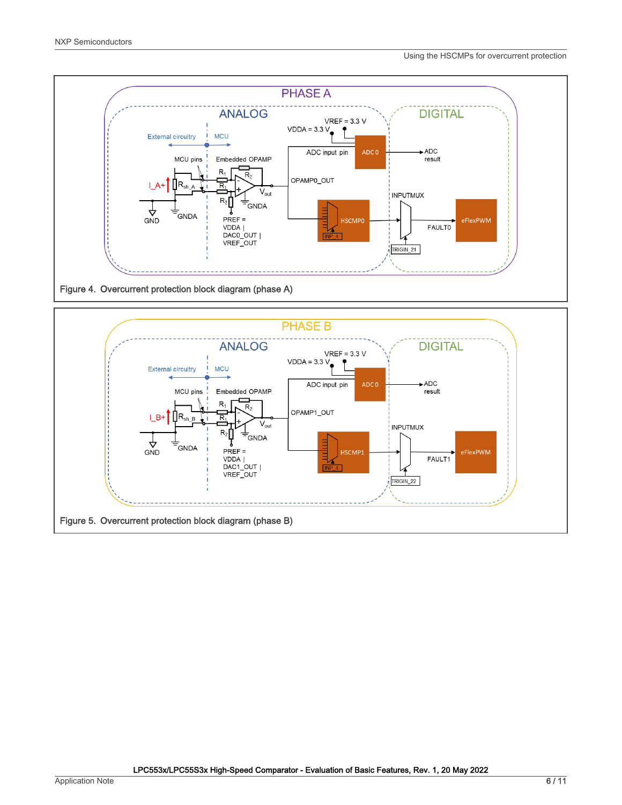

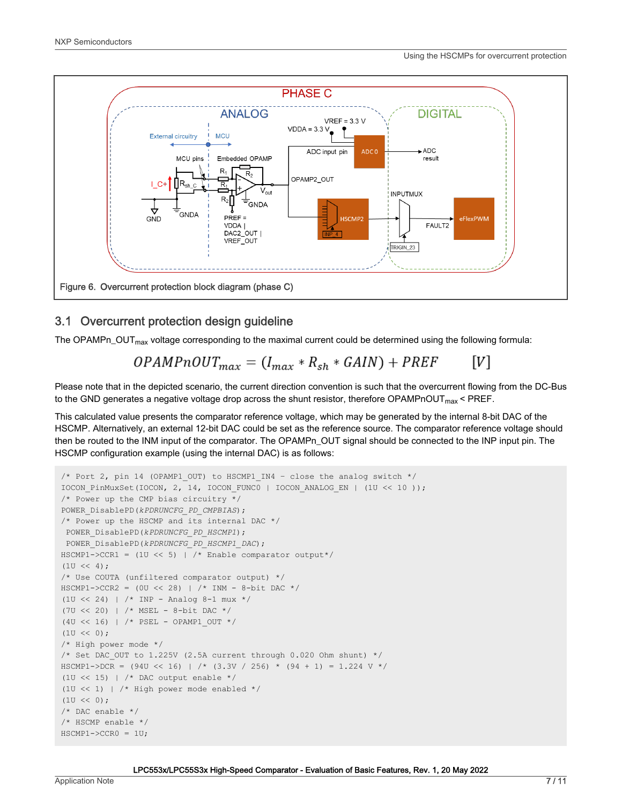

## 3.1 Overcurrent protection design guideline

The OPAMPn\_OUT<sub>max</sub> voltage corresponding to the maximal current could be determined using the following formula:

#### $OPAMPnOUT_{max} = (I_{max} * R_{sh} * GAIN) + PREF$  $[V]$

Please note that in the depicted scenario, the current direction convention is such that the overcurrent flowing from the DC-Bus to the GND generates a negative voltage drop across the shunt resistor, therefore OPAMPnOUT $_{max}$  < PREF.

This calculated value presents the comparator reference voltage, which may be generated by the internal 8-bit DAC of the HSCMP. Alternatively, an external 12-bit DAC could be set as the reference source. The comparator reference voltage should then be routed to the INM input of the comparator. The OPAMPn\_OUT signal should be connected to the INP input pin. The HSCMP configuration example (using the internal DAC) is as follows:

```
/* Port 2, pin 14 (OPAMP1 OUT) to HSCMP1 IN4 - close the analog switch */IOCON_PinMuxSet(IOCON, 2, 14, IOCON_FUNC0 | IOCON_ANALOG_EN | (1U << 10 )); 
/* Power up the CMP bias circuitry */
POWER_DisablePD(kPDRUNCFG_PD_CMPBIAS); 
/* Power up the HSCMP and its internal DAC */
 POWER_DisablePD(kPDRUNCFG_PD_HSCMP1);
 POWER_DisablePD(kPDRUNCFG_PD_HSCMP1_DAC);
HSCMP1->CCR1 = (1U << 5) | /* Enable comparator output*/
(1U \leq 4);
/* Use COUTA (unfiltered comparator output) */
HSCMP1->CCR2 = (0U << 28) | /* IMM - 8-bit DAC */(1U << 24) | /* INP - Analog 8-1 mux */
(7U << 20) | /* MSEL - 8-bit DAC */
(4U << 16) | /* PSEL - OPAMP1_OUT */ 
(1U \le 0);
/* High power mode */ 
/* Set DAC OUT to 1.225V (2.5A current through 0.020 Ohm shunt) */
HSCMP1->DCR = (94U << 16) | /* (3.3V / 256) * (94 + 1) = 1.224 V */
(1U \ll 15) | /* DAC output enable */
(1U << 1) | /* High power mode enabled */
(1U \le 0);
/* DAC enable */
/* HSCMP enable */
HSCMP1->CCR0 = 1U;
```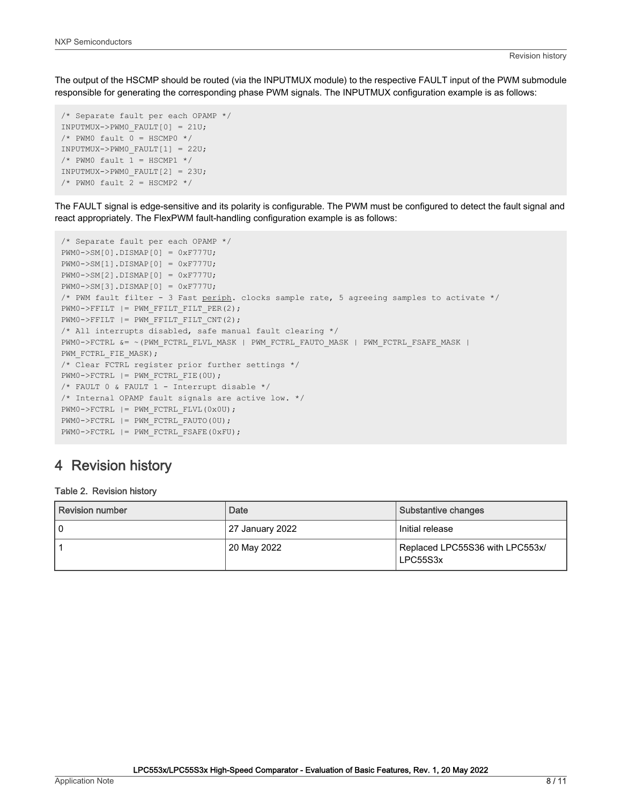<span id="page-7-0"></span>The output of the HSCMP should be routed (via the INPUTMUX module) to the respective FAULT input of the PWM submodule responsible for generating the corresponding phase PWM signals. The INPUTMUX configuration example is as follows:

```
/* Separate fault per each OPAMP */ 
INPUTMUX->PWM0_FAULT[0] = 21U; 
/* PWM0 fault 0 = HSCMP0 */
INPUTMUX->PWM0_FAULT[1] = 22U; 
/* PWM0 fault 1 = HSCMP1 */
INPUTMUX->PWM0_FAULT[2] = 23U; 
/* PWM0 fault 2 = HSCMP2 */
```
The FAULT signal is edge-sensitive and its polarity is configurable. The PWM must be configured to detect the fault signal and react appropriately. The FlexPWM fault-handling configuration example is as follows:

```
/* Separate fault per each OPAMP */ 
PWM0->SM[0].DISMAP[0] = 0xF777U;
PWM0->SM[1].DISMAP[0] = 0xF777U;
PWM0->SM[2].DISMAP[0] = 0xF777U;
PWM0->SM[3].DISMAP[0] = 0xF777U;
/* PWM fault filter - 3 Fast periph. clocks sample rate, 5 agreeing samples to activate */
PWMO->FFILT |= PWM FFILT FILT PER(2);
PWM0->FFILT |= PWM_FFILT_FILT_CNT(2);
/* All interrupts disabled, safe manual fault clearing */
PWM0->FCTRL &= ~(PWM_FCTRL_FLVL_MASK | PWM_FCTRL_FAUTO_MASK | PWM_FCTRL_FSAFE_MASK | 
PWM_FCTRL_FIE_MASK);
/* Clear FCTRL register prior further settings */
PWMO->FCTRL = PWM FCTRL FIE(0U);
/* FAULT 0 & FAULT 1 - Interrupt disable */
/* Internal OPAMP fault signals are active low. */
PWM0->FCTRL |= PWM_FCTRL_FLVL(0x0U);
PWM0->FCTRL |= PWM_FCTRL_FAUTO(0U);
PWM0->FCTRL |= PWM_FCTRL_FSAFE(0xFU);
```
# 4 Revision history

#### Table 2. Revision history

| Revision number | Date            | Substantive changes                         |  |
|-----------------|-----------------|---------------------------------------------|--|
|                 | 27 January 2022 | Initial release                             |  |
|                 | 20 May 2022     | Replaced LPC55S36 with LPC553x/<br>LPC55S3x |  |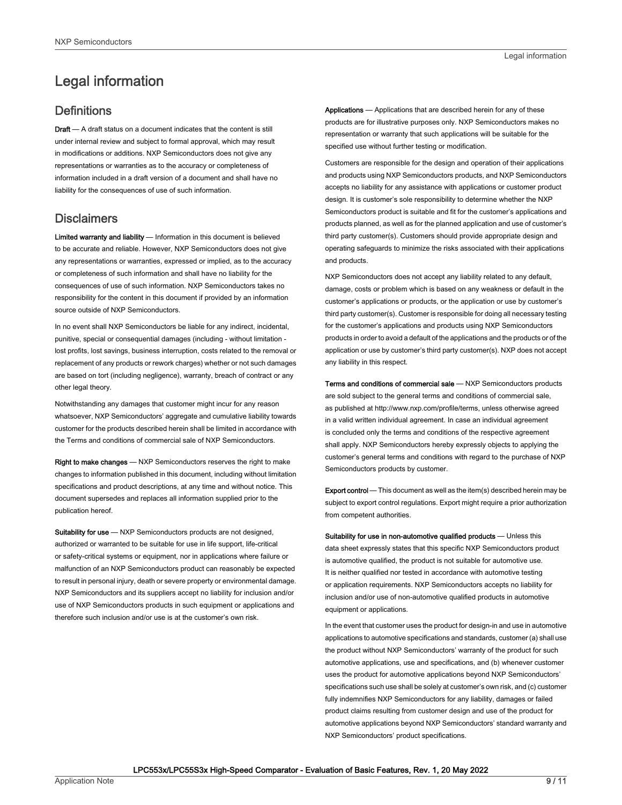# <span id="page-8-0"></span>Legal information

## **Definitions**

Draft - A draft status on a document indicates that the content is still under internal review and subject to formal approval, which may result in modifications or additions. NXP Semiconductors does not give any representations or warranties as to the accuracy or completeness of information included in a draft version of a document and shall have no liability for the consequences of use of such information.

## **Disclaimers**

Limited warranty and liability - Information in this document is believed to be accurate and reliable. However, NXP Semiconductors does not give any representations or warranties, expressed or implied, as to the accuracy or completeness of such information and shall have no liability for the consequences of use of such information. NXP Semiconductors takes no responsibility for the content in this document if provided by an information source outside of NXP Semiconductors.

In no event shall NXP Semiconductors be liable for any indirect, incidental, punitive, special or consequential damages (including - without limitation lost profits, lost savings, business interruption, costs related to the removal or replacement of any products or rework charges) whether or not such damages are based on tort (including negligence), warranty, breach of contract or any other legal theory.

Notwithstanding any damages that customer might incur for any reason whatsoever, NXP Semiconductors' aggregate and cumulative liability towards customer for the products described herein shall be limited in accordance with the Terms and conditions of commercial sale of NXP Semiconductors.

Right to make changes — NXP Semiconductors reserves the right to make changes to information published in this document, including without limitation specifications and product descriptions, at any time and without notice. This document supersedes and replaces all information supplied prior to the publication hereof.

Suitability for use - NXP Semiconductors products are not designed, authorized or warranted to be suitable for use in life support, life-critical or safety-critical systems or equipment, nor in applications where failure or malfunction of an NXP Semiconductors product can reasonably be expected to result in personal injury, death or severe property or environmental damage. NXP Semiconductors and its suppliers accept no liability for inclusion and/or use of NXP Semiconductors products in such equipment or applications and therefore such inclusion and/or use is at the customer's own risk.

Applications — Applications that are described herein for any of these products are for illustrative purposes only. NXP Semiconductors makes no representation or warranty that such applications will be suitable for the specified use without further testing or modification.

Customers are responsible for the design and operation of their applications and products using NXP Semiconductors products, and NXP Semiconductors accepts no liability for any assistance with applications or customer product design. It is customer's sole responsibility to determine whether the NXP Semiconductors product is suitable and fit for the customer's applications and products planned, as well as for the planned application and use of customer's third party customer(s). Customers should provide appropriate design and operating safeguards to minimize the risks associated with their applications and products.

NXP Semiconductors does not accept any liability related to any default, damage, costs or problem which is based on any weakness or default in the customer's applications or products, or the application or use by customer's third party customer(s). Customer is responsible for doing all necessary testing for the customer's applications and products using NXP Semiconductors products in order to avoid a default of the applications and the products or of the application or use by customer's third party customer(s). NXP does not accept any liability in this respect.

Terms and conditions of commercial sale — NXP Semiconductors products are sold subject to the general terms and conditions of commercial sale, as published at http://www.nxp.com/profile/terms, unless otherwise agreed in a valid written individual agreement. In case an individual agreement is concluded only the terms and conditions of the respective agreement shall apply. NXP Semiconductors hereby expressly objects to applying the customer's general terms and conditions with regard to the purchase of NXP Semiconductors products by customer.

Export control - This document as well as the item(s) described herein may be subject to export control regulations. Export might require a prior authorization from competent authorities.

Suitability for use in non-automotive qualified products - Unless this data sheet expressly states that this specific NXP Semiconductors product is automotive qualified, the product is not suitable for automotive use. It is neither qualified nor tested in accordance with automotive testing or application requirements. NXP Semiconductors accepts no liability for inclusion and/or use of non-automotive qualified products in automotive equipment or applications.

In the event that customer uses the product for design-in and use in automotive applications to automotive specifications and standards, customer (a) shall use the product without NXP Semiconductors' warranty of the product for such automotive applications, use and specifications, and (b) whenever customer uses the product for automotive applications beyond NXP Semiconductors' specifications such use shall be solely at customer's own risk, and (c) customer fully indemnifies NXP Semiconductors for any liability, damages or failed product claims resulting from customer design and use of the product for automotive applications beyond NXP Semiconductors' standard warranty and NXP Semiconductors' product specifications.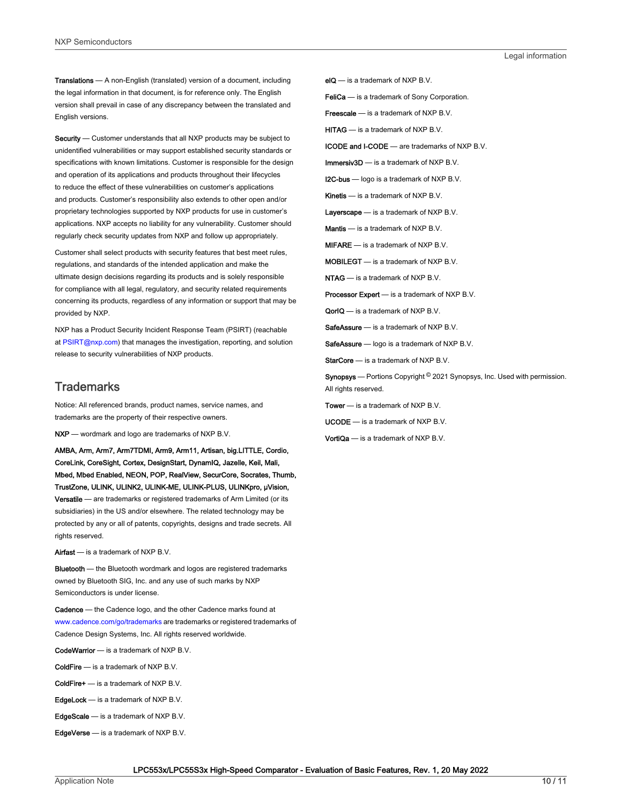Translations — A non-English (translated) version of a document, including the legal information in that document, is for reference only. The English version shall prevail in case of any discrepancy between the translated and English versions.

Security - Customer understands that all NXP products may be subject to unidentified vulnerabilities or may support established security standards or specifications with known limitations. Customer is responsible for the design and operation of its applications and products throughout their lifecycles to reduce the effect of these vulnerabilities on customer's applications and products. Customer's responsibility also extends to other open and/or proprietary technologies supported by NXP products for use in customer's applications. NXP accepts no liability for any vulnerability. Customer should regularly check security updates from NXP and follow up appropriately.

Customer shall select products with security features that best meet rules, regulations, and standards of the intended application and make the ultimate design decisions regarding its products and is solely responsible for compliance with all legal, regulatory, and security related requirements concerning its products, regardless of any information or support that may be provided by NXP.

NXP has a Product Security Incident Response Team (PSIRT) (reachable at [PSIRT@nxp.com\)](mailto:PSIRT@nxp.com) that manages the investigation, reporting, and solution release to security vulnerabilities of NXP products.

### **Trademarks**

Notice: All referenced brands, product names, service names, and trademarks are the property of their respective owners.

NXP — wordmark and logo are trademarks of NXP B.V.

AMBA, Arm, Arm7, Arm7TDMI, Arm9, Arm11, Artisan, big.LITTLE, Cordio, CoreLink, CoreSight, Cortex, DesignStart, DynamIQ, Jazelle, Keil, Mali, Mbed, Mbed Enabled, NEON, POP, RealView, SecurCore, Socrates, Thumb, TrustZone, ULINK, ULINK2, ULINK-ME, ULINK-PLUS, ULINKpro, μVision, Versatile — are trademarks or registered trademarks of Arm Limited (or its subsidiaries) in the US and/or elsewhere. The related technology may be protected by any or all of patents, copyrights, designs and trade secrets. All rights reserved.

Airfast — is a trademark of NXP B.V.

**Bluetooth** — the Bluetooth wordmark and logos are registered trademarks owned by Bluetooth SIG, Inc. and any use of such marks by NXP Semiconductors is under license.

Cadence — the Cadence logo, and the other Cadence marks found at [www.cadence.com/go/trademarks](http://www.cadence.com/go/trademarks) are trademarks or registered trademarks of Cadence Design Systems, Inc. All rights reserved worldwide.

CodeWarrior — is a trademark of NXP B.V.

- ColdFire is a trademark of NXP B.V.
- ColdFire+ is a trademark of NXP B.V.
- EdgeLock is a trademark of NXP B.V.
- EdgeScale is a trademark of NXP B.V.
- EdgeVerse is a trademark of NXP B.V.

elQ - is a trademark of NXP B.V.

FeliCa - is a trademark of Sony Corporation.

**Freescale** — is a trademark of NXP B.V.

HITAG — is a trademark of NXP B.V.

ICODE and I-CODE — are trademarks of NXP B.V.

Immersiv3D — is a trademark of NXP B.V.

**I2C-bus** — logo is a trademark of NXP B.V.

Kinetis - is a trademark of NXP B.V.

Layerscape - is a trademark of NXP B.V.

Mantis - is a trademark of NXP B.V.

MIFARE — is a trademark of NXP B.V.

MOBILEGT — is a trademark of NXP B.V.

NTAG — is a trademark of NXP B.V.

Processor Expert - is a trademark of NXP B.V.

QorIQ - is a trademark of NXP B.V.

SafeAssure — is a trademark of NXP B.V.

SafeAssure - logo is a trademark of NXP B.V.

StarCore - is a trademark of NXP B.V.

Synopsys - Portions Copyright <sup>©</sup> 2021 Synopsys, Inc. Used with permission. All rights reserved.

Tower — is a trademark of NXP B.V.

UCODE — is a trademark of NXP B.V.

VortiQa — is a trademark of NXP B.V.